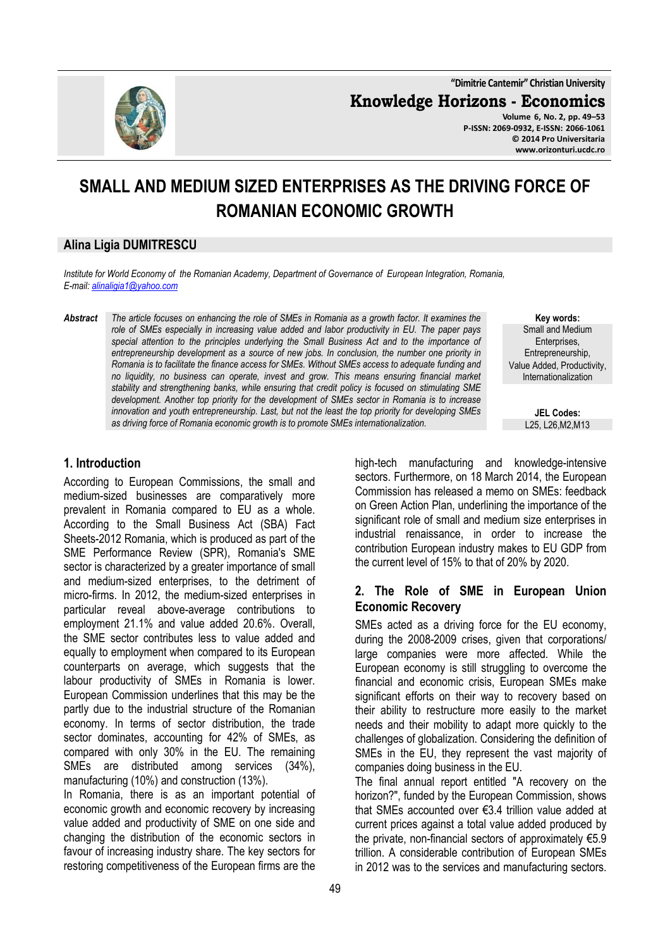**"Dimitrie Cantemir" Christian University**

**Knowledge Horizons - Economics**

**Volume 6, No. 2, pp. 49–53 P-ISSN: 2069-0932, E-ISSN: 2066-1061 © 2014 Pro Universitaria www.orizonturi.ucdc.ro**

# **SMALL AND MEDIUM SIZED ENTERPRISES AS THE DRIVING FORCE OF ROMANIAN ECONOMIC GROWTH**

#### **Alina Ligia DUMITRESCU**

*Institute for World Economy of the Romanian Academy, Department of Governance of European Integration, Romania, E-mail: alinaligia1@yahoo.com* 

*Abstract The article focuses on enhancing the role of SMEs in Romania as a growth factor. It examines the role of SMEs especially in increasing value added and labor productivity in EU. The paper pays*  special attention to the principles underlying the Small Business Act and to the importance of *entrepreneurship development as a source of new jobs. In conclusion, the number one priority in Romania is to facilitate the finance access for SMEs. Without SMEs access to adequate funding and no liquidity, no business can operate, invest and grow. This means ensuring financial market stability and strengthening banks, while ensuring that credit policy is focused on stimulating SME development. Another top priority for the development of SMEs sector in Romania is to increase innovation and youth entrepreneurship. Last, but not the least the top priority for developing SMEs as driving force of Romania economic growth is to promote SMEs internationalization.* 

**Key words:** Small and Medium Enterprises, Entrepreneurship, Value Added, Productivity, Internationalization

> **JEL Codes:** L25, L26,M2,M13

# **1. Introduction**

According to European Commissions, the small and medium-sized businesses are comparatively more prevalent in Romania compared to EU as a whole. According to the Small Business Act (SBA) Fact Sheets-2012 Romania, which is produced as part of the SME Performance Review (SPR), Romania's SME sector is characterized by a greater importance of small and medium-sized enterprises, to the detriment of micro-firms. In 2012, the medium-sized enterprises in particular reveal above-average contributions to employment 21.1% and value added 20.6%. Overall, the SME sector contributes less to value added and equally to employment when compared to its European counterparts on average, which suggests that the labour productivity of SMEs in Romania is lower. European Commission underlines that this may be the partly due to the industrial structure of the Romanian economy. In terms of sector distribution, the trade sector dominates, accounting for 42% of SMEs, as compared with only 30% in the EU. The remaining SMEs are distributed among services (34%), manufacturing (10%) and construction (13%).

In Romania, there is as an important potential of economic growth and economic recovery by increasing value added and productivity of SME on one side and changing the distribution of the economic sectors in favour of increasing industry share. The key sectors for restoring competitiveness of the European firms are the

high-tech manufacturing and knowledge-intensive sectors. Furthermore, on 18 March 2014, the European Commission has released a memo on SMEs: feedback on Green Action Plan, underlining the importance of the significant role of small and medium size enterprises in industrial renaissance, in order to increase the contribution European industry makes to EU GDP from the current level of 15% to that of 20% by 2020.

#### **2. The Role of SME in European Union Economic Recovery**

SMEs acted as a driving force for the EU economy, during the 2008-2009 crises, given that corporations/ large companies were more affected. While the European economy is still struggling to overcome the financial and economic crisis, European SMEs make significant efforts on their way to recovery based on their ability to restructure more easily to the market needs and their mobility to adapt more quickly to the challenges of globalization. Considering the definition of SMEs in the EU, they represent the vast majority of companies doing business in the EU.

The final annual report entitled "A recovery on the horizon?", funded by the European Commission, shows that SMEs accounted over €3.4 trillion value added at current prices against a total value added produced by the private, non-financial sectors of approximately €5.9 trillion. A considerable contribution of European SMEs in 2012 was to the services and manufacturing sectors.

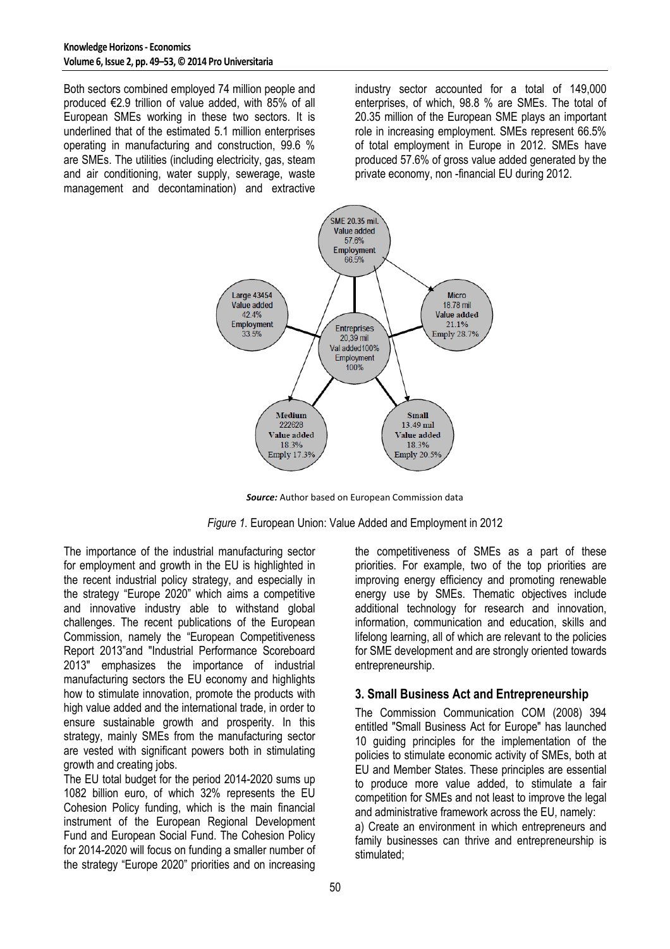Both sectors combined employed 74 million people and produced €2.9 trillion of value added, with 85% of all European SMEs working in these two sectors. It is underlined that of the estimated 5.1 million enterprises operating in manufacturing and construction, 99.6 % are SMEs. The utilities (including electricity, gas, steam and air conditioning, water supply, sewerage, waste management and decontamination) and extractive industry sector accounted for a total of 149,000 enterprises, of which, 98.8 % are SMEs. The total of 20.35 million of the European SME plays an important role in increasing employment. SMEs represent 66.5% of total employment in Europe in 2012. SMEs have produced 57.6% of gross value added generated by the private economy, non -financial EU during 2012.



*Source:* Author based on European Commission data



The importance of the industrial manufacturing sector for employment and growth in the EU is highlighted in the recent industrial policy strategy, and especially in the strategy "Europe 2020" which aims a competitive and innovative industry able to withstand global challenges. The recent publications of the European Commission, namely the "European Competitiveness Report 2013"and "Industrial Performance Scoreboard 2013" emphasizes the importance of industrial manufacturing sectors the EU economy and highlights how to stimulate innovation, promote the products with high value added and the international trade, in order to ensure sustainable growth and prosperity. In this strategy, mainly SMEs from the manufacturing sector are vested with significant powers both in stimulating growth and creating jobs.

The EU total budget for the period 2014-2020 sums up 1082 billion euro, of which 32% represents the EU Cohesion Policy funding, which is the main financial instrument of the European Regional Development Fund and European Social Fund. The Cohesion Policy for 2014-2020 will focus on funding a smaller number of the strategy "Europe 2020" priorities and on increasing

the competitiveness of SMEs as a part of these priorities. For example, two of the top priorities are improving energy efficiency and promoting renewable energy use by SMEs. Thematic objectives include additional technology for research and innovation, information, communication and education, skills and lifelong learning, all of which are relevant to the policies for SME development and are strongly oriented towards entrepreneurship.

# **3. Small Business Act and Entrepreneurship**

The Commission Communication COM (2008) 394 entitled "Small Business Act for Europe" has launched 10 guiding principles for the implementation of the policies to stimulate economic activity of SMEs, both at EU and Member States. These principles are essential to produce more value added, to stimulate a fair competition for SMEs and not least to improve the legal and administrative framework across the EU, namely: a) Create an environment in which entrepreneurs and family businesses can thrive and entrepreneurship is stimulated;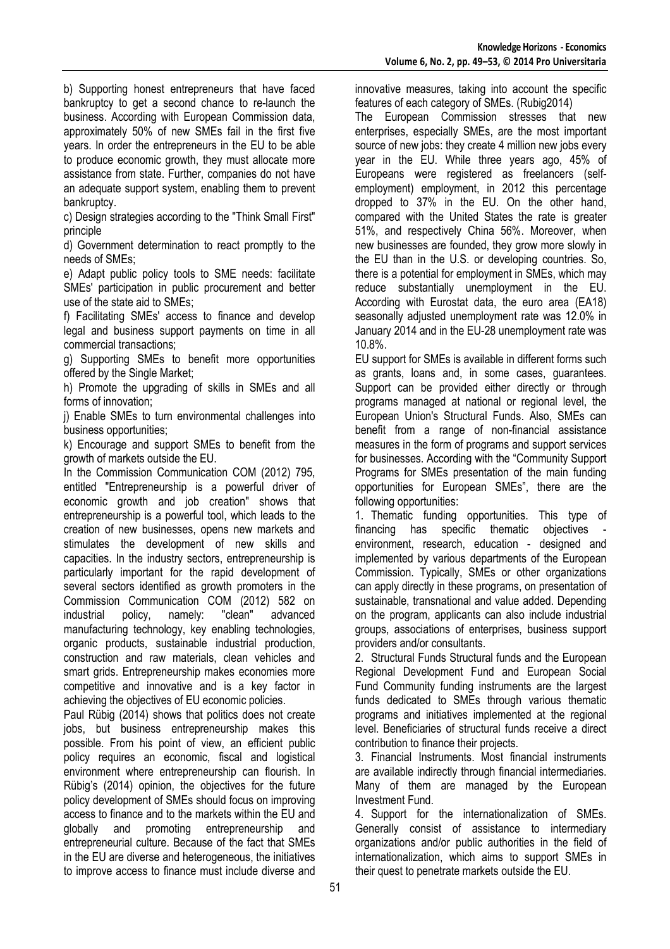b) Supporting honest entrepreneurs that have faced bankruptcy to get a second chance to re-launch the business. According with European Commission data, approximately 50% of new SMEs fail in the first five years. In order the entrepreneurs in the EU to be able to produce economic growth, they must allocate more assistance from state. Further, companies do not have an adequate support system, enabling them to prevent bankruptcy.

c) Design strategies according to the "Think Small First" principle

d) Government determination to react promptly to the needs of SMEs;

e) Adapt public policy tools to SME needs: facilitate SMEs' participation in public procurement and better use of the state aid to SMEs;

f) Facilitating SMEs' access to finance and develop legal and business support payments on time in all commercial transactions;

g) Supporting SMEs to benefit more opportunities offered by the Single Market;

h) Promote the upgrading of skills in SMEs and all forms of innovation;

i) Enable SMEs to turn environmental challenges into business opportunities;

k) Encourage and support SMEs to benefit from the growth of markets outside the EU.

In the Commission Communication COM (2012) 795, entitled "Entrepreneurship is a powerful driver of economic growth and job creation" shows that entrepreneurship is a powerful tool, which leads to the creation of new businesses, opens new markets and stimulates the development of new skills and capacities. In the industry sectors, entrepreneurship is particularly important for the rapid development of several sectors identified as growth promoters in the Commission Communication COM (2012) 582 on industrial policy, namely: "clean" advanced manufacturing technology, key enabling technologies, organic products, sustainable industrial production, construction and raw materials, clean vehicles and smart grids. Entrepreneurship makes economies more competitive and innovative and is a key factor in achieving the objectives of EU economic policies.

Paul Rübig (2014) shows that politics does not create jobs, but business entrepreneurship makes this possible. From his point of view, an efficient public policy requires an economic, fiscal and logistical environment where entrepreneurship can flourish. In Rübig's (2014) opinion, the objectives for the future policy development of SMEs should focus on improving access to finance and to the markets within the EU and globally and promoting entrepreneurship and entrepreneurial culture. Because of the fact that SMEs in the EU are diverse and heterogeneous, the initiatives to improve access to finance must include diverse and

innovative measures, taking into account the specific features of each category of SMEs. (Rubig2014)

The European Commission stresses that new enterprises, especially SMEs, are the most important source of new jobs: they create 4 million new jobs every year in the EU. While three years ago, 45% of Europeans were registered as freelancers (selfemployment) employment, in 2012 this percentage dropped to 37% in the EU. On the other hand, compared with the United States the rate is greater 51%, and respectively China 56%. Moreover, when new businesses are founded, they grow more slowly in the EU than in the U.S. or developing countries. So, there is a potential for employment in SMEs, which may reduce substantially unemployment in the EU. According with Eurostat data, the euro area (EA18) seasonally adjusted unemployment rate was 12.0% in January 2014 and in the EU-28 unemployment rate was 10.8%.

EU support for SMEs is available in different forms such as grants, loans and, in some cases, guarantees. Support can be provided either directly or through programs managed at national or regional level, the European Union's Structural Funds. Also, SMEs can benefit from a range of non-financial assistance measures in the form of programs and support services for businesses. According with the "Community Support Programs for SMEs presentation of the main funding opportunities for European SMEs", there are the following opportunities:

1. Thematic funding opportunities. This type of financing has specific thematic objectives environment, research, education - designed and implemented by various departments of the European Commission. Typically, SMEs or other organizations can apply directly in these programs, on presentation of sustainable, transnational and value added. Depending on the program, applicants can also include industrial groups, associations of enterprises, business support providers and/or consultants.

2. Structural Funds Structural funds and the European Regional Development Fund and European Social Fund Community funding instruments are the largest funds dedicated to SMEs through various thematic programs and initiatives implemented at the regional level. Beneficiaries of structural funds receive a direct contribution to finance their projects.

3. Financial Instruments. Most financial instruments are available indirectly through financial intermediaries. Many of them are managed by the European Investment Fund.

4. Support for the internationalization of SMEs. Generally consist of assistance to intermediary organizations and/or public authorities in the field of internationalization, which aims to support SMEs in their quest to penetrate markets outside the EU.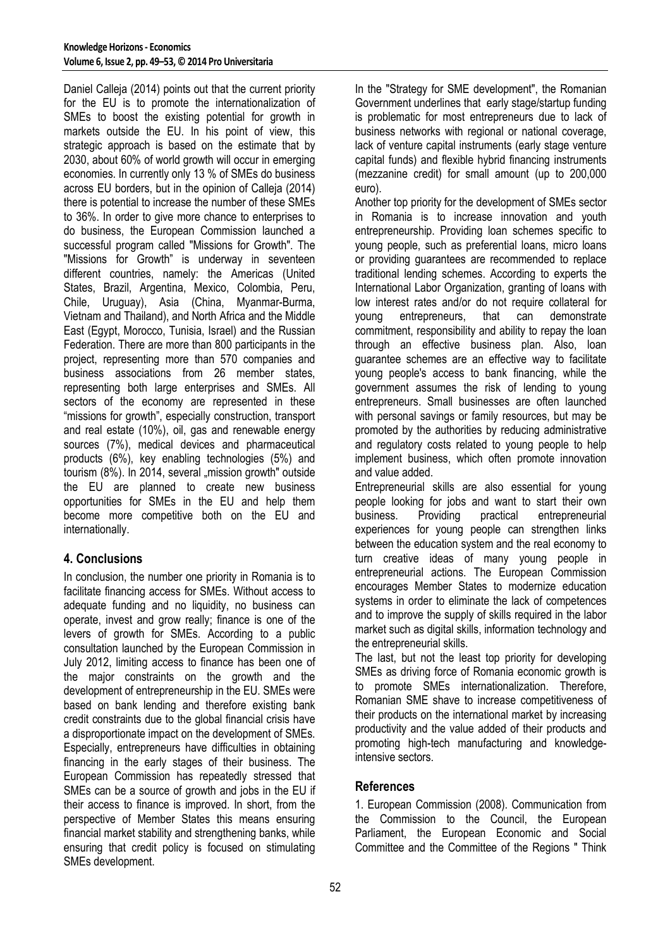Daniel Calleja (2014) points out that the current priority for the EU is to promote the internationalization of SMEs to boost the existing potential for growth in markets outside the EU. In his point of view, this strategic approach is based on the estimate that by 2030, about 60% of world growth will occur in emerging economies. In currently only 13 % of SMEs do business across EU borders, but in the opinion of Calleja (2014) there is potential to increase the number of these SMEs to 36%. In order to give more chance to enterprises to do business, the European Commission launched a successful program called "Missions for Growth". The "Missions for Growth" is underway in seventeen different countries, namely: the Americas (United States, Brazil, Argentina, Mexico, Colombia, Peru, Chile, Uruguay), Asia (China, Myanmar-Burma, Vietnam and Thailand), and North Africa and the Middle East (Egypt, Morocco, Tunisia, Israel) and the Russian Federation. There are more than 800 participants in the project, representing more than 570 companies and business associations from 26 member states, representing both large enterprises and SMEs. All sectors of the economy are represented in these "missions for growth", especially construction, transport and real estate (10%), oil, gas and renewable energy sources (7%), medical devices and pharmaceutical products (6%), key enabling technologies (5%) and tourism (8%). In 2014, several "mission growth" outside the EU are planned to create new business opportunities for SMEs in the EU and help them become more competitive both on the EU and internationally.

# **4. Conclusions**

In conclusion, the number one priority in Romania is to facilitate financing access for SMEs. Without access to adequate funding and no liquidity, no business can operate, invest and grow really; finance is one of the levers of growth for SMEs. According to a public consultation launched by the European Commission in July 2012, limiting access to finance has been one of the major constraints on the growth and the development of entrepreneurship in the EU. SMEs were based on bank lending and therefore existing bank credit constraints due to the global financial crisis have a disproportionate impact on the development of SMEs. Especially, entrepreneurs have difficulties in obtaining financing in the early stages of their business. The European Commission has repeatedly stressed that SMEs can be a source of growth and jobs in the EU if their access to finance is improved. In short, from the perspective of Member States this means ensuring financial market stability and strengthening banks, while ensuring that credit policy is focused on stimulating SMEs development.

In the "Strategy for SME development", the Romanian Government underlines that early stage/startup funding is problematic for most entrepreneurs due to lack of business networks with regional or national coverage, lack of venture capital instruments (early stage venture capital funds) and flexible hybrid financing instruments (mezzanine credit) for small amount (up to 200,000 euro).

Another top priority for the development of SMEs sector in Romania is to increase innovation and youth entrepreneurship. Providing loan schemes specific to young people, such as preferential loans, micro loans or providing guarantees are recommended to replace traditional lending schemes. According to experts the International Labor Organization, granting of loans with low interest rates and/or do not require collateral for young entrepreneurs, that can demonstrate commitment, responsibility and ability to repay the loan through an effective business plan. Also, loan guarantee schemes are an effective way to facilitate young people's access to bank financing, while the government assumes the risk of lending to young entrepreneurs. Small businesses are often launched with personal savings or family resources, but may be promoted by the authorities by reducing administrative and regulatory costs related to young people to help implement business, which often promote innovation and value added.

Entrepreneurial skills are also essential for young people looking for jobs and want to start their own business. Providing practical entrepreneurial experiences for young people can strengthen links between the education system and the real economy to turn creative ideas of many young people in entrepreneurial actions. The European Commission encourages Member States to modernize education systems in order to eliminate the lack of competences and to improve the supply of skills required in the labor market such as digital skills, information technology and the entrepreneurial skills.

The last, but not the least top priority for developing SMEs as driving force of Romania economic growth is to promote SMEs internationalization. Therefore, Romanian SME shave to increase competitiveness of their products on the international market by increasing productivity and the value added of their products and promoting high-tech manufacturing and knowledgeintensive sectors.

# **References**

1. European Commission (2008). Communication from the Commission to the Council, the European Parliament, the European Economic and Social Committee and the Committee of the Regions " Think